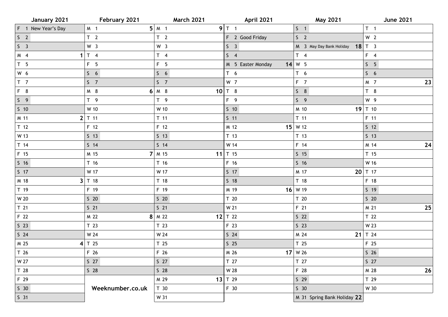| January 2021       | February 2021    | <b>March 2021</b>       | April 2021        | <b>May 2021</b>             | <b>June 2021</b> |
|--------------------|------------------|-------------------------|-------------------|-----------------------------|------------------|
| F 1 New Year's Day | M 1              | $5 \mid M \mid 1$       | 9T1               | S <sub>1</sub>              | $T \t1$          |
| S <sub>2</sub>     | T <sub>2</sub>   | T <sub>2</sub>          | F 2 Good Friday   | S <sub>2</sub>              | W <sub>2</sub>   |
| S <sub>3</sub>     | W <sub>3</sub>   | W <sub>3</sub>          | S <sub>3</sub>    | M 3 May Day Bank Holiday    | $18$ T 3         |
| M 4<br>1           | $T_4$            | $T \quad 4$             | $S \quad 4$       | $T \quad 4$                 | $F \quad 4$      |
| T <sub>5</sub>     | F 5              | $F \quad 5$             | M 5 Easter Monday | $14$ W 5                    | S <sub>5</sub>   |
| W 6                | S <sub>6</sub>   | S <sub>6</sub>          | T <sub>6</sub>    | T <sub>6</sub>              | 56               |
| $T$ 7              | S <sub>7</sub>   | S <sub>7</sub>          | $W$ 7             | $F$ 7                       | M 7<br>23        |
| F 8                | M 8              | $6 \mid M \mid 8$<br>10 | T 8               | S 8                         | T 8              |
| $S \quad 9$        | T <sub>9</sub>   | $T$ 9                   | F 9               | 59                          | W 9              |
| $S$ 10             | W 10             | W 10                    | $S$ 10            | M 10                        | 19 $T$ 10        |
| M 11               | $2$ T 11         | $T$ 11                  | $S$ 11            | $T$ 11                      | $F$ 11           |
| T <sub>12</sub>    | F 12             | $F$ 12                  | M 12              | $15 \mid W 12$              | $S$ 12           |
| W 13               | $S$ 13           | $S$ 13                  | T <sub>13</sub>   | T <sub>13</sub>             | $S$ 13           |
| $T$ 14             | $S$ 14           | 514                     | W 14              | F 14                        | 24<br>M 14       |
| F 15               | M 15             | $7 \mid M$ 15           | 11 $T$ 15         | $S$ 15                      | T <sub>15</sub>  |
| $S$ 16             | T 16             | T 16                    | F 16              | $S$ 16                      | W 16             |
| $S$ 17             | W 17             | W 17                    | $S$ 17            | M 17                        | 20 $T$ 17        |
| M 18               | $3$ T 18         | T 18                    | $S$ 18            | T 18                        | F 18             |
| T 19               | F 19             | F 19                    | M 19              | $16$ W 19                   | $S$ 19           |
| W 20               | $S$ 20           | $S$ 20                  | T 20              | T <sub>20</sub>             | $S$ 20           |
| T <sub>21</sub>    | $S$ 21           | $S$ 21                  | W 21              | F 21                        | 25<br>M 21       |
| F 22               | M 22             | $8 \mid M$ 22           | $12$ T 22         | S <sub>22</sub>             | T <sub>22</sub>  |
| S <sub>23</sub>    | T <sub>23</sub>  | T <sub>23</sub>         | F 23              | $S$ 23                      | W 23             |
| $S$ 24             | W 24             | W 24                    | $S$ 24            | M 24                        | 21 $T$ 24        |
| M 25               | $4$ T 25         | T <sub>25</sub>         | $S$ 25            | T <sub>25</sub>             | F 25             |
| T 26               | F 26             | F 26                    | M 26              | $17$ W 26                   | $S$ 26           |
| W 27               | S <sub>27</sub>  | S <sub>27</sub>         | T 27              | T 27                        | $S$ 27           |
| T 28               | $S$ 28           | $S$ 28                  | W 28              | F 28                        | 26<br>M 28       |
| F 29               |                  | M 29                    | 13 $T$ 29         | $S$ 29                      | T 29             |
| S <sub>30</sub>    | Weeknumber.co.uk | T 30                    | F 30              | S <sub>30</sub>             | W 30             |
| S <sub>31</sub>    |                  | W 31                    |                   | M 31 Spring Bank Holiday 22 |                  |